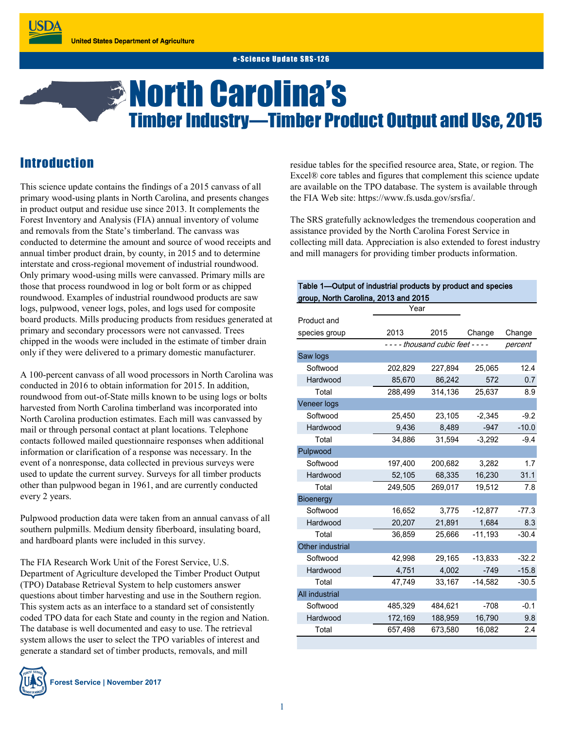# *<b>B* North Carolina's Timber Industry—Timber Product Output and Use, 2015

## **Introduction**

This science update contains the findings of a 2015 canvass of all primary wood-using plants in North Carolina, and presents changes in product output and residue use since 2013. It complements the Forest Inventory and Analysis (FIA) annual inventory of volume and removals from the State's timberland. The canvass was conducted to determine the amount and source of wood receipts and annual timber product drain, by county, in 2015 and to determine interstate and cross-regional movement of industrial roundwood. Only primary wood-using mills were canvassed. Primary mills are those that process roundwood in log or bolt form or as chipped roundwood. Examples of industrial roundwood products are saw logs, pulpwood, veneer logs, poles, and logs used for composite board products. Mills producing products from residues generated at primary and secondary processors were not canvassed. Trees chipped in the woods were included in the estimate of timber drain only if they were delivered to a primary domestic manufacturer.

A 100-percent canvass of all wood processors in North Carolina was conducted in 2016 to obtain information for 2015. In addition, roundwood from out-of-State mills known to be using logs or bolts harvested from North Carolina timberland was incorporated into North Carolina production estimates. Each mill was canvassed by mail or through personal contact at plant locations. Telephone contacts followed mailed questionnaire responses when additional information or clarification of a response was necessary. In the event of a nonresponse, data collected in previous surveys were used to update the current survey. Surveys for all timber products other than pulpwood began in 1961, and are currently conducted every 2 years.

Pulpwood production data were taken from an annual canvass of all southern pulpmills. Medium density fiberboard, insulating board, and hardboard plants were included in this survey.

The FIA Research Work Unit of the Forest Service, U.S. Department of Agriculture developed the Timber Product Output (TPO) Database Retrieval System to help customers answer questions about timber harvesting and use in the Southern region. This system acts as an interface to a standard set of consistently coded TPO data for each State and county in the region and Nation. The database is well documented and easy to use. The retrieval system allows the user to select the TPO variables of interest and generate a standard set of timber products, removals, and mill



**Forest Service | November 2017**

residue tables for the specified resource area, State, or region. The Excel® core tables and figures that complement this science update are available on the TPO database. The system is available through the FIA Web site: https://www.fs.usda.gov/srsfia/.

The SRS gratefully acknowledges the tremendous cooperation and assistance provided by the North Carolina Forest Service in collecting mill data. Appreciation is also extended to forest industry and mill managers for providing timber products information.

| Table 1-Output of industrial products by product and species |         |                                     |           |         |
|--------------------------------------------------------------|---------|-------------------------------------|-----------|---------|
| group, North Carolina, 2013 and 2015                         |         |                                     |           |         |
|                                                              | Year    |                                     |           |         |
| Product and                                                  |         |                                     |           |         |
| species group                                                | 2013    | 2015                                | Change    | Change  |
|                                                              |         | - - - - thousand cubic feet - - - - |           | percent |
| Saw logs                                                     |         |                                     |           |         |
| Softwood                                                     | 202,829 | 227,894                             | 25,065    | 12.4    |
| Hardwood                                                     | 85,670  | 86,242                              | 572       | 0.7     |
| Total                                                        | 288,499 | 314,136                             | 25,637    | 8.9     |
| Veneer logs                                                  |         |                                     |           |         |
| Softwood                                                     | 25,450  | 23,105                              | $-2,345$  | $-9.2$  |
| Hardwood                                                     | 9,436   | 8,489                               | $-947$    | $-10.0$ |
| Total                                                        | 34,886  | 31,594                              | $-3,292$  | $-9.4$  |
| Pulpwood                                                     |         |                                     |           |         |
| Softwood                                                     | 197,400 | 200,682                             | 3,282     | 1.7     |
| Hardwood                                                     | 52,105  | 68,335                              | 16,230    | 31.1    |
| Total                                                        | 249,505 | 269,017                             | 19,512    | 7.8     |
| <b>Bioenergy</b>                                             |         |                                     |           |         |
| Softwood                                                     | 16,652  | 3,775                               | $-12,877$ | $-77.3$ |
| Hardwood                                                     | 20,207  | 21,891                              | 1,684     | 8.3     |
| Total                                                        | 36,859  | 25,666                              | $-11,193$ | $-30.4$ |
| Other industrial                                             |         |                                     |           |         |
| Softwood                                                     | 42,998  | 29,165                              | $-13,833$ | $-32.2$ |
| Hardwood                                                     | 4,751   | 4,002                               | $-749$    | $-15.8$ |
| Total                                                        | 47,749  | 33,167                              | $-14,582$ | $-30.5$ |
| All industrial                                               |         |                                     |           |         |
| Softwood                                                     | 485,329 | 484,621                             | $-708$    | $-0.1$  |
| Hardwood                                                     | 172,169 | 188,959                             | 16,790    | 9.8     |
| Total                                                        | 657,498 | 673,580                             | 16,082    | 2.4     |
|                                                              |         |                                     |           |         |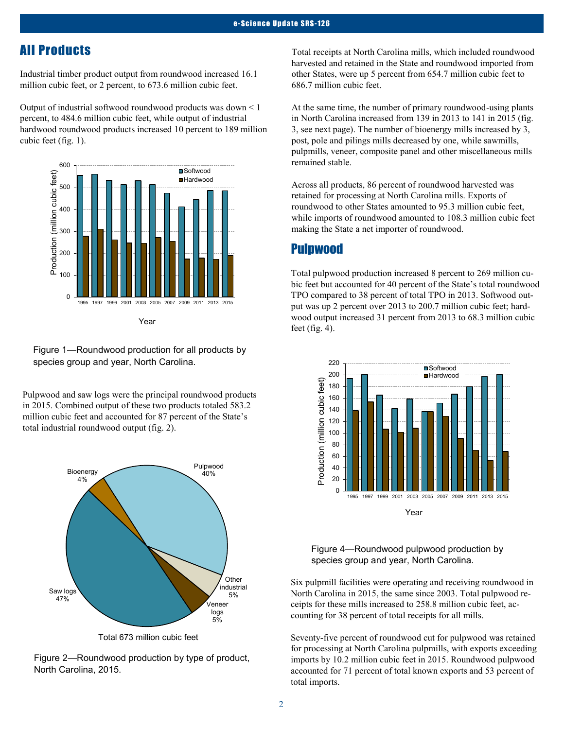## All Products

Industrial timber product output from roundwood increased 16.1 million cubic feet, or 2 percent, to 673.6 million cubic feet.

Output of industrial softwood roundwood products was down < 1 percent, to 484.6 million cubic feet, while output of industrial hardwood roundwood products increased 10 percent to 189 million cubic feet (fig. 1).



Year

Figure 1—Roundwood production for all products by species group and year, North Carolina.

Pulpwood and saw logs were the principal roundwood products in 2015. Combined output of these two products totaled 583.2 million cubic feet and accounted for 87 percent of the State's total industrial roundwood output (fig. 2).



Total 673 million cubic feet

Figure 2—Roundwood production by type of product, North Carolina, 2015.

Total receipts at North Carolina mills, which included roundwood harvested and retained in the State and roundwood imported from other States, were up 5 percent from 654.7 million cubic feet to 686.7 million cubic feet.

At the same time, the number of primary roundwood-using plants in North Carolina increased from 139 in 2013 to 141 in 2015 (fig. 3, see next page). The number of bioenergy mills increased by 3, post, pole and pilings mills decreased by one, while sawmills, pulpmills, veneer, composite panel and other miscellaneous mills remained stable.

Across all products, 86 percent of roundwood harvested was retained for processing at North Carolina mills. Exports of roundwood to other States amounted to 95.3 million cubic feet, while imports of roundwood amounted to 108.3 million cubic feet making the State a net importer of roundwood.

#### Pulpwood

Total pulpwood production increased 8 percent to 269 million cubic feet but accounted for 40 percent of the State's total roundwood TPO compared to 38 percent of total TPO in 2013. Softwood output was up 2 percent over 2013 to 200.7 million cubic feet; hardwood output increased 31 percent from 2013 to 68.3 million cubic feet (fig. 4).



#### Figure 4—Roundwood pulpwood production by species group and year, North Carolina.

Six pulpmill facilities were operating and receiving roundwood in North Carolina in 2015, the same since 2003. Total pulpwood receipts for these mills increased to 258.8 million cubic feet, accounting for 38 percent of total receipts for all mills.

Seventy-five percent of roundwood cut for pulpwood was retained for processing at North Carolina pulpmills, with exports exceeding imports by 10.2 million cubic feet in 2015. Roundwood pulpwood accounted for 71 percent of total known exports and 53 percent of total imports.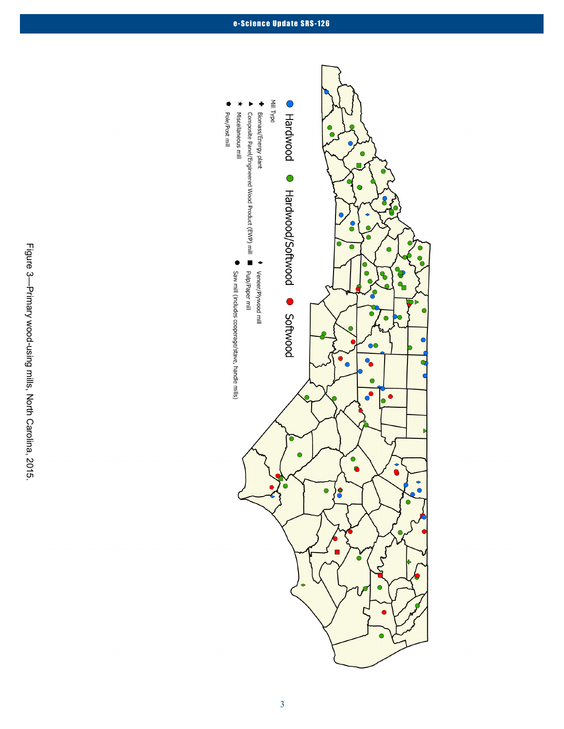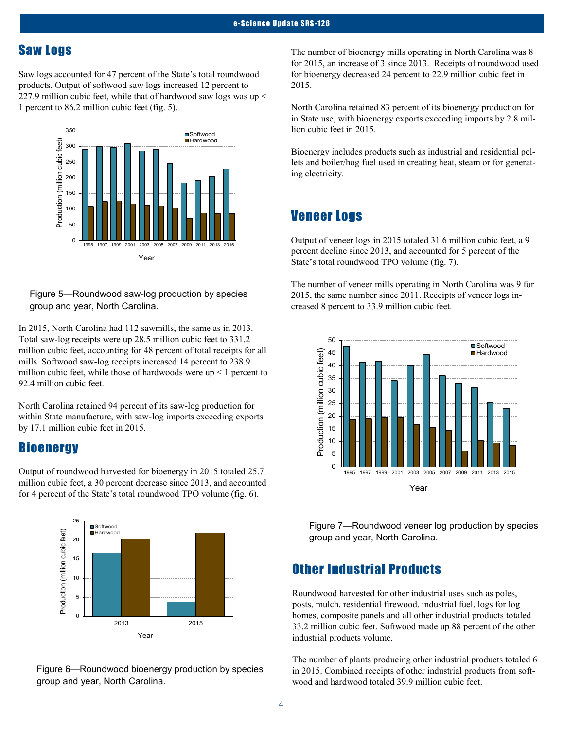## Saw Logs

Saw logs accounted for 47 percent of the State's total roundwood products. Output of softwood saw logs increased 12 percent to 227.9 million cubic feet, while that of hardwood saw logs was up < 1 percent to 86.2 million cubic feet (fig. 5).



#### Figure 5—Roundwood saw-log production by species group and year, North Carolina.

In 2015, North Carolina had 112 sawmills, the same as in 2013. Total saw-log receipts were up 28.5 million cubic feet to 331.2 million cubic feet, accounting for 48 percent of total receipts for all mills. Softwood saw-log receipts increased 14 percent to 238.9 million cubic feet, while those of hardwoods were  $up < 1$  percent to 92.4 million cubic feet.

North Carolina retained 94 percent of its saw-log production for within State manufacture, with saw-log imports exceeding exports by 17.1 million cubic feet in 2015.

#### **Bioenergy**

Output of roundwood harvested for bioenergy in 2015 totaled 25.7 million cubic feet, a 30 percent decrease since 2013, and accounted for 4 percent of the State's total roundwood TPO volume (fig. 6).



Figure 6—Roundwood bioenergy production by species group and year, North Carolina.

The number of bioenergy mills operating in North Carolina was 8 for 2015, an increase of 3 since 2013. Receipts of roundwood used for bioenergy decreased 24 percent to 22.9 million cubic feet in 2015.

North Carolina retained 83 percent of its bioenergy production for in State use, with bioenergy exports exceeding imports by 2.8 million cubic feet in 2015.

Bioenergy includes products such as industrial and residential pellets and boiler/hog fuel used in creating heat, steam or for generating electricity.

## Veneer Logs

Output of veneer logs in 2015 totaled 31.6 million cubic feet, a 9 percent decline since 2013, and accounted for 5 percent of the State's total roundwood TPO volume (fig. 7).

The number of veneer mills operating in North Carolina was 9 for 2015, the same number since 2011. Receipts of veneer logs increased 8 percent to 33.9 million cubic feet.



Figure 7—Roundwood veneer log production by species group and year, North Carolina.

## Other Industrial Products

Roundwood harvested for other industrial uses such as poles, posts, mulch, residential firewood, industrial fuel, logs for log homes, composite panels and all other industrial products totaled 33.2 million cubic feet. Softwood made up 88 percent of the other industrial products volume.

The number of plants producing other industrial products totaled 6 in 2015. Combined receipts of other industrial products from softwood and hardwood totaled 39.9 million cubic feet.